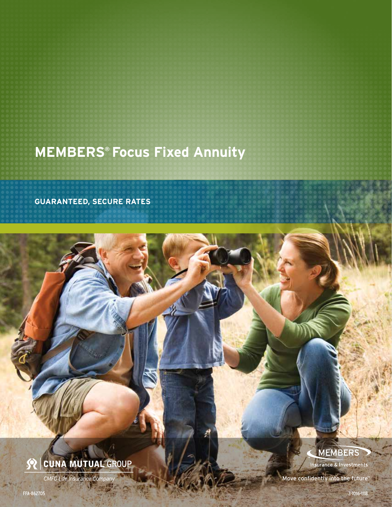# **MEMBERS® Focus Fixed Annuity**

**GUARANTEED, SECURE RATES**

# S CUNA MUTUAL GROUP

CMFG Life Insurance Com

# **MEMBERS**

**Insurance & Investments** 

Move confidently into the future™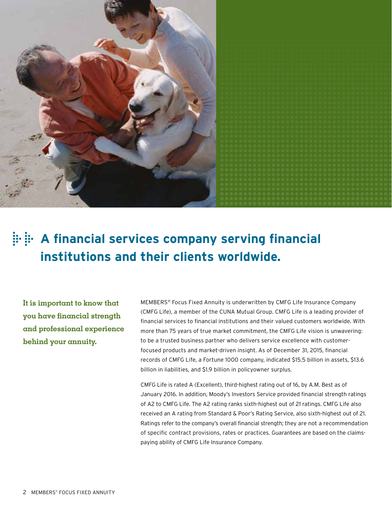

# **A financial services company serving financial institutions and their clients worldwide.**

**It is important to know that you have financial strength and professional experience behind your annuity.**

MEMBERS® Focus Fixed Annuity is underwritten by CMFG Life Insurance Company (CMFG Life), a member of the CUNA Mutual Group. CMFG Life is a leading provider of financial services to financial institutions and their valued customers worldwide. With more than 75 years of true market commitment, the CMFG Life vision is unwavering: to be a trusted business partner who delivers service excellence with customerfocused products and market-driven insight. As of December 31, 2015, financial records of CMFG Life, a Fortune 1000 company, indicated \$15.5 billion in assets, \$13.6 billion in liabilities, and \$1.9 billion in policyowner surplus.

CMFG Life is rated A (Excellent), third-highest rating out of 16, by A.M. Best as of January 2016. In addition, Moody's Investors Service provided financial strength ratings of A2 to CMFG Life. The A2 rating ranks sixth-highest out of 21 ratings. CMFG Life also received an A rating from Standard & Poor's Rating Service, also sixth-highest out of 21. Ratings refer to the company's overall financial strength; they are not a recommendation of specific contract provisions, rates or practices. Guarantees are based on the claimspaying ability of CMFG Life Insurance Company.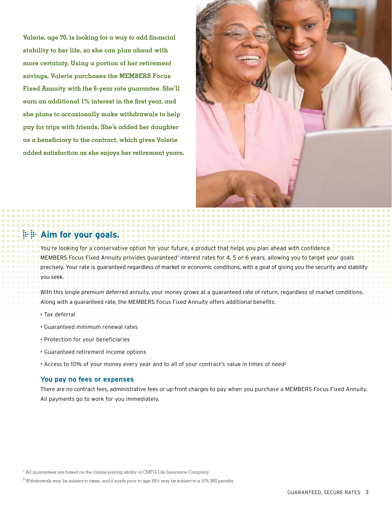**Valerie, age 70, is looking for a way to add financial stability to her life, so she can plan ahead with more certainty. Using a portion of her retirement savings, Valerie purchases the MEMBERS Focus Fixed Annuity with the 6-year rate guarantee. She'll earn an additional 1% interest in the first year, and she plans to occasionally make withdrawals to help pay for trips with friends. She's added her daughter as a beneficiary to the contract, which gives Valerie added satisfaction as she enjoys her retirement years.**



# **Aim for your goals.**

You're looking for a conservative option for your future, a product that helps you plan ahead with confidence. MEMBERS Focus Fixed Annuity provides guaranteed' interest rates for 4, 5 or 6 years, allowing you to target your goals precisely. Your rate is guaranteed regardless of market or economic conditions, with a goal of giving you the security and stability you seek.

With this single premium deferred annuity, your money grows at a guaranteed rate of return, regardless of market conditions. Along with a guaranteed rate, the MEMBERS Focus Fixed Annuity offers additional benefits:

- Tax deferral
- Guaranteed minimum renewal rates
- Protection for your beneficiaries
- Guaranteed retirement income options
- Access to 10% of your money every year and to all of your contract's value in times of need<sup>2</sup>

## **You pay no fees or expenses**

There are no contract fees, administrative fees or up-front charges to pay when you purchase a MEMBERS Focus Fixed Annuity. All payments go to work for you immediately.

 $^{\rm l}$  All guarantees are based on the claims-paying ability of CMFG Life Insurance Company.

 $^2$  Withdrawals may be subject to taxes, and if made prior to age 59½ may be subject to a 10% IRS penalty.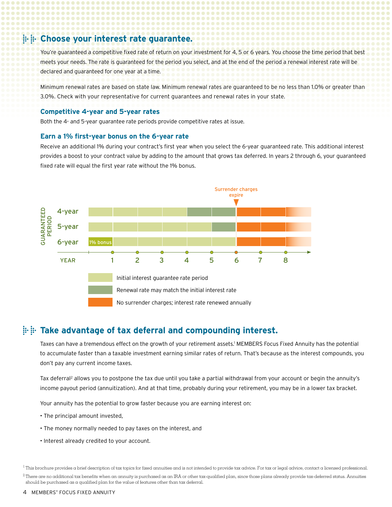## **Choose your interest rate guarantee.**

You're quaranteed a competitive fixed rate of return on your investment for 4, 5 or 6 years. You choose the time period that best meets your needs. The rate is guaranteed for the period you select, and at the end of the period a renewal interest rate will be declared and guaranteed for one year at a time.

Minimum renewal rates are based on state law. Minimum renewal rates are guaranteed to be no less than 1.0% or greater than 3.0%. Check with your representative for current guarantees and renewal rates in your state.

### **Competitive 4-year and 5-year rates**

Both the 4- and 5-year guarantee rate periods provide competitive rates at issue.

### **Earn a 1% first-year bonus on the 6-year rate**

Receive an additional 1% during your contract's first year when you select the 6-year guaranteed rate. This additional interest provides a boost to your contract value by adding to the amount that grows tax deferred. In years 2 through 6, your guaranteed fixed rate will equal the first year rate without the 1% bonus.



## **Take advantage of tax deferral and compounding interest.**

Taxes can have a tremendous effect on the growth of your retirement assets.<sup>1</sup> MEMBERS Focus Fixed Annuity has the potential to accumulate faster than a taxable investment earning similar rates of return. That's because as the interest compounds, you don't pay any current income taxes.

Tax deferral<sup>2</sup> allows you to postpone the tax due until you take a partial withdrawal from your account or begin the annuity's income payout period (annuitization). And at that time, probably during your retirement, you may be in a lower tax bracket.

Your annuity has the potential to grow faster because you are earning interest on:

- The principal amount invested,
- The money normally needed to pay taxes on the interest, and
- Interest already credited to your account.

<sup>1</sup> This brochure provides a brief description of tax topics for fixed annuities and is not intended to provide tax advice. For tax or legal advice, contact a licensed professional.

 $^2$  There are no additional tax benefits when an annuity is purchased as an IRA or other tax-qualified plan, since those plans already provide tax-deferred status. Annuities should be purchased as a qualified plan for the value of features other than tax deferral.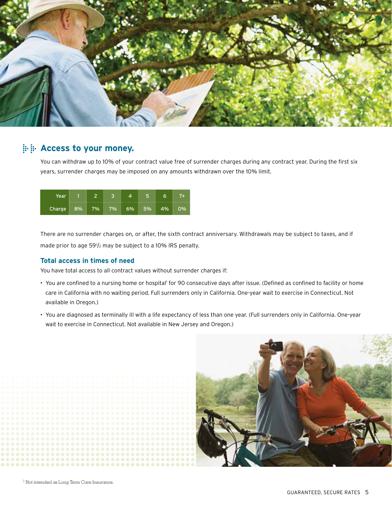

## **Access to your money.**

You can withdraw up to 10% of your contract value free of surrender charges during any contract year. During the first six years, surrender charges may be imposed on any amounts withdrawn over the 10% limit.

| Year         |    |        |    |    |     |    |
|--------------|----|--------|----|----|-----|----|
| Charge $8\%$ | 7% | $-7\%$ | 6% | 5% | 4%. | )% |

There are no surrender charges on, or after, the sixth contract anniversary. Withdrawals may be subject to taxes, and if made prior to age 591 /2 may be subject to a 10% IRS penalty.

## **Total access in times of need**

You have total access to all contract values without surrender charges if:

- You are confined to a nursing home or hospital' for 90 consecutive days after issue. (Defined as confined to facility or home care in California with no waiting period. Full surrenders only in California. One-year wait to exercise in Connecticut. Not available in Oregon.)
- You are diagnosed as terminally ill with a life expectancy of less than one year. (Full surrenders only in California. One-year wait to exercise in Connecticut. Not available in New Jersey and Oregon.)

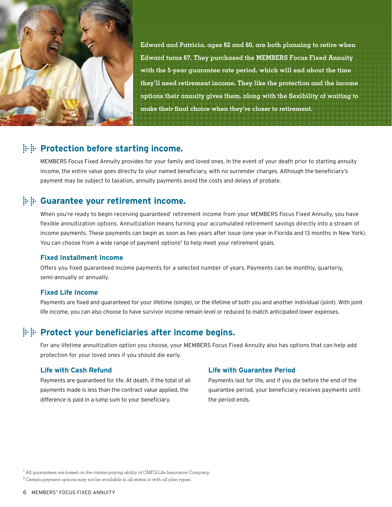

**Edward and Patricia, ages 62 and 60, are both planning to retire when Edward turns 67. They purchased the MEMBERS Focus Fixed Annuity with the 5-year guarantee rate period, which will end about the time they'll need retirement income. They like the protection and the income options their annuity gives them, along with the flexibility of waiting to make their final choice when they're closer to retirement.**

## **Protection before starting income.**

MEMBERS Focus Fixed Annuity provides for your family and loved ones. In the event of your death prior to starting annuity income, the entire value goes directly to your named beneficiary, with no surrender charges. Although the beneficiary's payment may be subject to taxation, annuity payments avoid the costs and delays of probate.

## **Guarantee your retirement income.**

When you're ready to begin receiving guaranteed' retirement income from your MEMBERS Focus Fixed Annuity, you have flexible annuitization options. Annuitization means turning your accumulated retirement savings directly into a stream of income payments. These payments can begin as soon as two years after issue (one year in Florida and 13 months in New York). You can choose from a wide range of payment options<sup>2</sup> to help meet your retirement goals.

## **Fixed Installment Income**

Offers you fixed guaranteed income payments for a selected number of years. Payments can be monthly, quarterly, semi-annually or annually.

## **Fixed Life Income**

Payments are fixed and guaranteed for your lifetime (single), or the lifetime of both you and another individual (joint). With joint life income, you can also choose to have survivor income remain level or reduced to match anticipated lower expenses.

## **Protect your beneficiaries after income begins.**

For any lifetime annuitization option you choose, your MEMBERS Focus Fixed Annuity also has options that can help add protection for your loved ones if you should die early.

## **Life with Cash Refund**

Payments are guaranteed for life. At death, if the total of all payments made is less than the contract value applied, the difference is paid in a lump sum to your beneficiary.

## **Life with Guarantee Period**

Payments last for life, and if you die before the end of the guarantee period, your beneficiary receives payments until the period ends.

<sup>&</sup>lt;sup>1</sup> All guarantees are based on the claims-paying ability of CMFG Life Insurance Company.

 $^2$  Certain payment options may not be available in all states or with all plan types.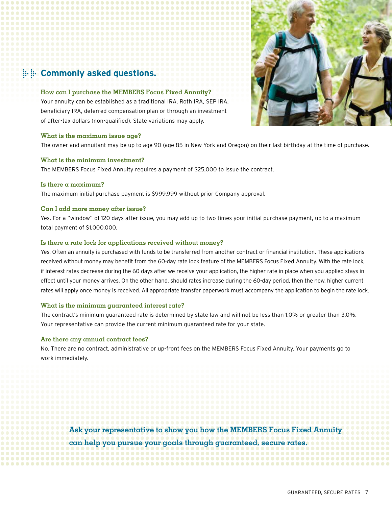# **EXECOMMONLY asked questions.**

## **How can I purchase the MEMBERS Focus Fixed Annuity?**

Your annuity can be established as a traditional IRA, Roth IRA, SEP IRA, beneficiary IRA, deferred compensation plan or through an investment of after-tax dollars (non-qualified). State variations may apply.

#### **What is the maximum issue age?**

The owner and annuitant may be up to age 90 (age 85 in New York and Oregon) on their last birthday at the time of purchase.

## **What is the minimum investment?**

The MEMBERS Focus Fixed Annuity requires a payment of \$25,000 to issue the contract.

## **Is there a maximum?**

The maximum initial purchase payment is \$999,999 without prior Company approval.

## **Can I add more money after issue?**

Yes. For a "window" of 120 days after issue, you may add up to two times your initial purchase payment, up to a maximum total payment of \$1,000,000.

## **Is there a rate lock for applications received without money?**

Yes. Often an annuity is purchased with funds to be transferred from another contract or financial institution. These applications received without money may benefit from the 60-day rate lock feature of the MEMBERS Focus Fixed Annuity. With the rate lock, if interest rates decrease during the 60 days after we receive your application, the higher rate in place when you applied stays in effect until your money arrives. On the other hand, should rates increase during the 60-day period, then the new, higher current rates will apply once money is received. All appropriate transfer paperwork must accompany the application to begin the rate lock.

#### **What is the minimum guaranteed interest rate?**

The contract's minimum guaranteed rate is determined by state law and will not be less than 1.0% or greater than 3.0%. Your representative can provide the current minimum guaranteed rate for your state.

## **Are there any annual contract fees?**

No. There are no contract, administrative or up-front fees on the MEMBERS Focus Fixed Annuity. Your payments go to work immediately.

**Ask your representative to show you how the MEMBERS Focus Fixed Annuity can help you pursue your goals through guaranteed, secure rates.**